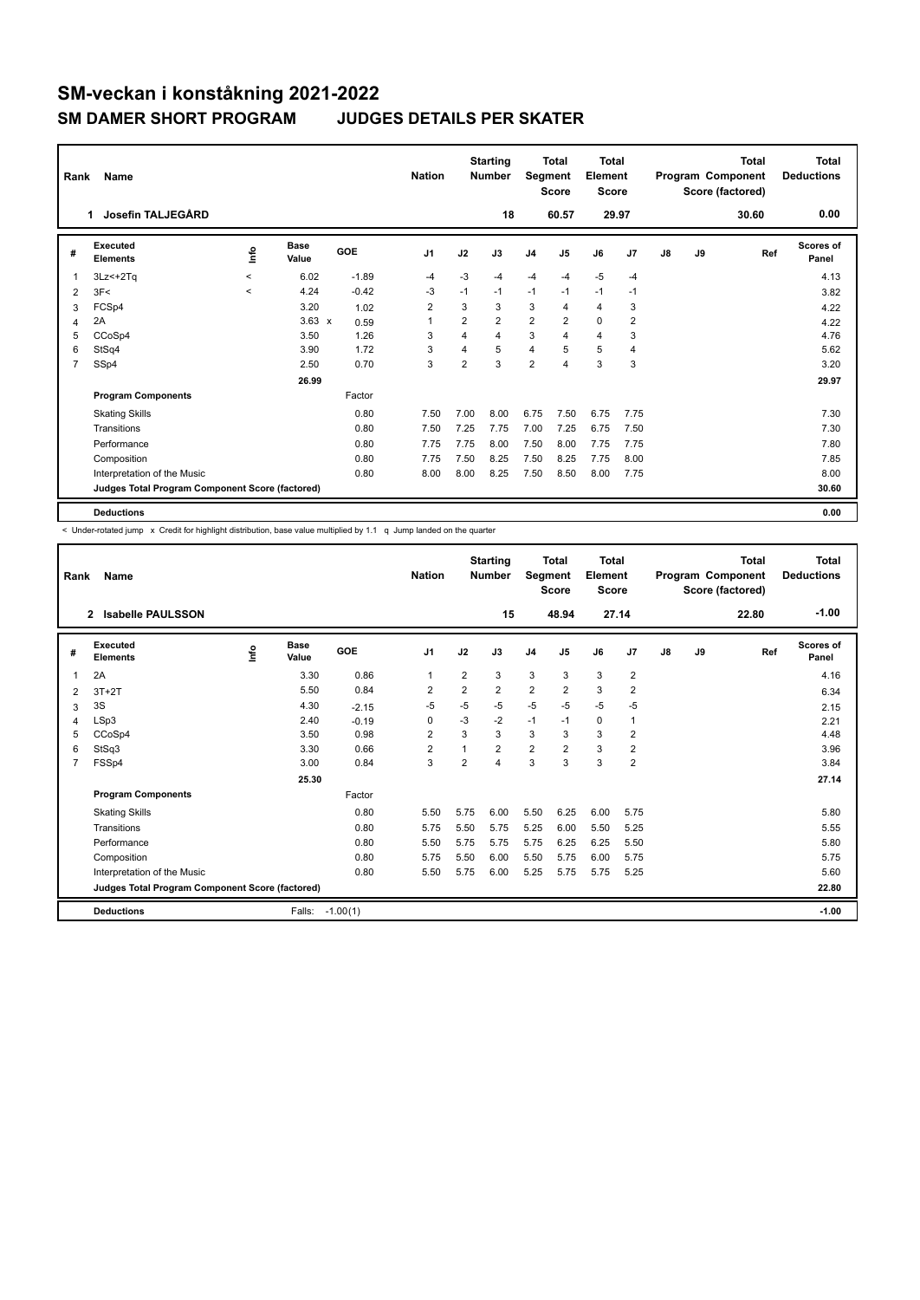| Rank           | Name                                            |              | <b>Nation</b>        |         | <b>Starting</b><br><b>Number</b> | Segment        | <b>Total</b><br><b>Score</b> | <b>Total</b><br>Element<br><b>Score</b> |                         |                |                | <b>Total</b><br>Program Component<br>Score (factored) | <b>Total</b><br><b>Deductions</b> |       |                    |
|----------------|-------------------------------------------------|--------------|----------------------|---------|----------------------------------|----------------|------------------------------|-----------------------------------------|-------------------------|----------------|----------------|-------------------------------------------------------|-----------------------------------|-------|--------------------|
|                | Josefin TALJEGÅRD<br>1                          |              |                      |         |                                  |                | 18                           |                                         | 60.57                   | 29.97          |                |                                                       |                                   | 30.60 | 0.00               |
| #              | Executed<br><b>Elements</b>                     | ١nfo         | <b>Base</b><br>Value | GOE     | J <sub>1</sub>                   | J2             | J3                           | J <sub>4</sub>                          | J <sub>5</sub>          | J6             | J <sub>7</sub> | J8                                                    | J9                                | Ref   | Scores of<br>Panel |
| 1              | $3Lz<+2Tq$                                      | $\checkmark$ | 6.02                 | $-1.89$ | $-4$                             | $-3$           | -4                           | $-4$                                    | $-4$                    | $-5$           | $-4$           |                                                       |                                   |       | 4.13               |
| $\overline{2}$ | 3F<                                             | $\prec$      | 4.24                 | $-0.42$ | -3                               | $-1$           | $-1$                         | $-1$                                    | $-1$                    | $-1$           | $-1$           |                                                       |                                   |       | 3.82               |
| 3              | FCSp4                                           |              | 3.20                 | 1.02    | $\overline{2}$                   | 3              | 3                            | 3                                       | $\overline{4}$          | $\overline{4}$ | 3              |                                                       |                                   |       | 4.22               |
| 4              | 2A                                              |              | $3.63 \times$        | 0.59    | 1                                | $\overline{2}$ | $\overline{2}$               | $\overline{2}$                          | $\overline{2}$          | $\mathbf 0$    | $\overline{2}$ |                                                       |                                   |       | 4.22               |
| 5              | CCoSp4                                          |              | 3.50                 | 1.26    | 3                                | 4              | 4                            | 3                                       | $\overline{\mathbf{A}}$ | $\overline{4}$ | 3              |                                                       |                                   |       | 4.76               |
| 6              | StSq4                                           |              | 3.90                 | 1.72    | 3                                | 4              | 5                            | $\overline{4}$                          | 5                       | 5              | 4              |                                                       |                                   |       | 5.62               |
| 7              | SSp4                                            |              | 2.50                 | 0.70    | 3                                | $\overline{2}$ | 3                            | 2                                       | $\overline{4}$          | 3              | 3              |                                                       |                                   |       | 3.20               |
|                |                                                 |              | 26.99                |         |                                  |                |                              |                                         |                         |                |                |                                                       |                                   |       | 29.97              |
|                | <b>Program Components</b>                       |              |                      | Factor  |                                  |                |                              |                                         |                         |                |                |                                                       |                                   |       |                    |
|                | <b>Skating Skills</b>                           |              |                      | 0.80    | 7.50                             | 7.00           | 8.00                         | 6.75                                    | 7.50                    | 6.75           | 7.75           |                                                       |                                   |       | 7.30               |
|                | Transitions                                     |              |                      | 0.80    | 7.50                             | 7.25           | 7.75                         | 7.00                                    | 7.25                    | 6.75           | 7.50           |                                                       |                                   |       | 7.30               |
|                | Performance                                     |              |                      | 0.80    | 7.75                             | 7.75           | 8.00                         | 7.50                                    | 8.00                    | 7.75           | 7.75           |                                                       |                                   |       | 7.80               |
|                | Composition                                     |              |                      | 0.80    | 7.75                             | 7.50           | 8.25                         | 7.50                                    | 8.25                    | 7.75           | 8.00           |                                                       |                                   |       | 7.85               |
|                | Interpretation of the Music                     |              |                      | 0.80    | 8.00                             | 8.00           | 8.25                         | 7.50                                    | 8.50                    | 8.00           | 7.75           |                                                       |                                   |       | 8.00               |
|                | Judges Total Program Component Score (factored) |              |                      |         |                                  |                |                              |                                         |                         |                |                |                                                       |                                   |       | 30.60              |
|                | <b>Deductions</b>                               |              |                      |         |                                  |                |                              |                                         |                         |                |                |                                                       |                                   |       | 0.00               |

< Under-rotated jump x Credit for highlight distribution, base value multiplied by 1.1 q Jump landed on the quarter

| Rank           | Name                                            |             |                      |            | <b>Nation</b>  |                | <b>Starting</b><br><b>Number</b> | Segment        | <b>Total</b><br><b>Score</b> | Total<br>Element<br><b>Score</b> |                |    |    | <b>Total</b><br>Program Component<br>Score (factored) | <b>Total</b><br><b>Deductions</b> |
|----------------|-------------------------------------------------|-------------|----------------------|------------|----------------|----------------|----------------------------------|----------------|------------------------------|----------------------------------|----------------|----|----|-------------------------------------------------------|-----------------------------------|
|                | <b>Isabelle PAULSSON</b><br>$\overline{2}$      |             |                      |            |                |                | 15                               |                | 48.94                        | 27.14                            |                |    |    | 22.80                                                 | $-1.00$                           |
| #              | Executed<br><b>Elements</b>                     | <u>lnfo</u> | <b>Base</b><br>Value | GOE        | J <sub>1</sub> | J2             | J3                               | J <sub>4</sub> | J5                           | J6                               | J7             | J8 | J9 | Ref                                                   | Scores of<br>Panel                |
| 1              | 2A                                              |             | 3.30                 | 0.86       | $\mathbf{1}$   | $\overline{2}$ | 3                                | 3              | 3                            | 3                                | $\overline{2}$ |    |    |                                                       | 4.16                              |
| $\overline{2}$ | $3T+2T$                                         |             | 5.50                 | 0.84       | $\overline{2}$ | $\overline{2}$ | $\overline{2}$                   | $\overline{2}$ | $\overline{2}$               | 3                                | $\overline{2}$ |    |    |                                                       | 6.34                              |
| 3              | 3S                                              |             | 4.30                 | $-2.15$    | $-5$           | $-5$           | $-5$                             | -5             | $-5$                         | $-5$                             | $-5$           |    |    |                                                       | 2.15                              |
| 4              | LSp3                                            |             | 2.40                 | $-0.19$    | $\Omega$       | $-3$           | $-2$                             | $-1$           | $-1$                         | 0                                | $\mathbf{1}$   |    |    |                                                       | 2.21                              |
| 5              | CCoSp4                                          |             | 3.50                 | 0.98       | $\overline{2}$ | 3              | 3                                | 3              | 3                            | 3                                | $\overline{2}$ |    |    |                                                       | 4.48                              |
| 6              | StSq3                                           |             | 3.30                 | 0.66       | $\overline{2}$ |                | $\overline{2}$                   | $\overline{2}$ | $\overline{2}$               | 3                                | $\overline{2}$ |    |    |                                                       | 3.96                              |
| 7              | FSSp4                                           |             | 3.00                 | 0.84       | 3              | $\overline{2}$ | 4                                | 3              | 3                            | 3                                | $\overline{2}$ |    |    |                                                       | 3.84                              |
|                |                                                 |             | 25.30                |            |                |                |                                  |                |                              |                                  |                |    |    |                                                       | 27.14                             |
|                | <b>Program Components</b>                       |             |                      | Factor     |                |                |                                  |                |                              |                                  |                |    |    |                                                       |                                   |
|                | <b>Skating Skills</b>                           |             |                      | 0.80       | 5.50           | 5.75           | 6.00                             | 5.50           | 6.25                         | 6.00                             | 5.75           |    |    |                                                       | 5.80                              |
|                | Transitions                                     |             |                      | 0.80       | 5.75           | 5.50           | 5.75                             | 5.25           | 6.00                         | 5.50                             | 5.25           |    |    |                                                       | 5.55                              |
|                | Performance                                     |             |                      | 0.80       | 5.50           | 5.75           | 5.75                             | 5.75           | 6.25                         | 6.25                             | 5.50           |    |    |                                                       | 5.80                              |
|                | Composition                                     |             |                      | 0.80       | 5.75           | 5.50           | 6.00                             | 5.50           | 5.75                         | 6.00                             | 5.75           |    |    |                                                       | 5.75                              |
|                | Interpretation of the Music                     |             |                      | 0.80       | 5.50           | 5.75           | 6.00                             | 5.25           | 5.75                         | 5.75                             | 5.25           |    |    |                                                       | 5.60                              |
|                | Judges Total Program Component Score (factored) |             |                      |            |                |                |                                  |                |                              |                                  |                |    |    |                                                       | 22.80                             |
|                | <b>Deductions</b>                               |             | Falls:               | $-1.00(1)$ |                |                |                                  |                |                              |                                  |                |    |    |                                                       | $-1.00$                           |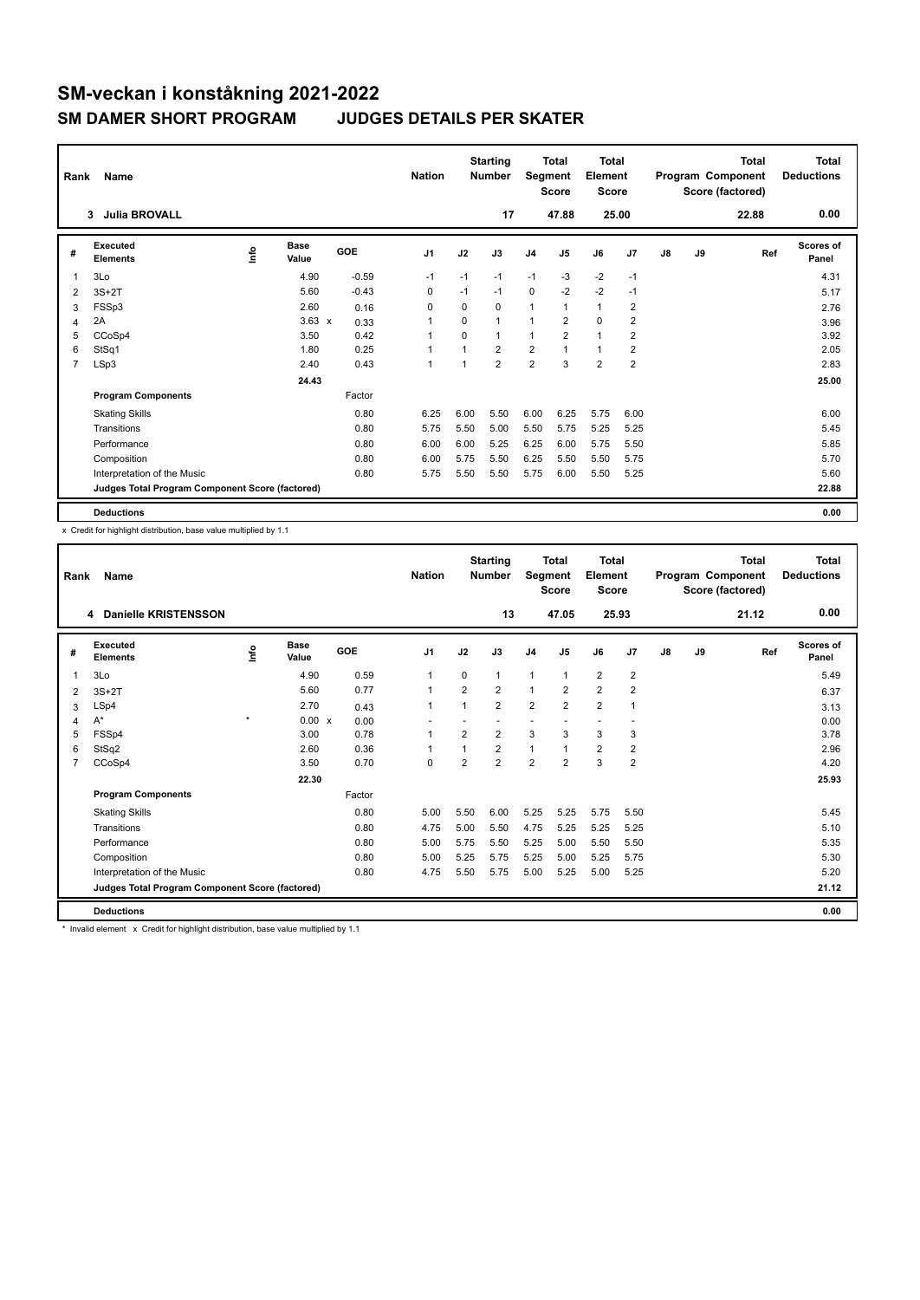| Rank           | Name                                            |      | <b>Nation</b>        |         | <b>Starting</b><br>Number | Segment        | <b>Total</b><br><b>Score</b> | <b>Total</b><br>Element<br><b>Score</b> |                |                |                | <b>Total</b><br>Program Component<br>Score (factored) | Total<br><b>Deductions</b> |       |                    |
|----------------|-------------------------------------------------|------|----------------------|---------|---------------------------|----------------|------------------------------|-----------------------------------------|----------------|----------------|----------------|-------------------------------------------------------|----------------------------|-------|--------------------|
|                | <b>Julia BROVALL</b><br>3                       |      |                      |         |                           |                | 17                           |                                         | 47.88          |                | 25.00          |                                                       |                            | 22.88 | 0.00               |
| #              | Executed<br><b>Elements</b>                     | ١nfo | <b>Base</b><br>Value | GOE     | J <sub>1</sub>            | J2             | J3                           | J <sub>4</sub>                          | J <sub>5</sub> | J6             | J7             | J8                                                    | J9                         | Ref   | Scores of<br>Panel |
| 1              | 3Lo                                             |      | 4.90                 | $-0.59$ | $-1$                      | $-1$           | $-1$                         | $-1$                                    | $-3$           | $-2$           | $-1$           |                                                       |                            |       | 4.31               |
| $\overline{2}$ | $3S+2T$                                         |      | 5.60                 | $-0.43$ | 0                         | $-1$           | $-1$                         | 0                                       | $-2$           | $-2$           | $-1$           |                                                       |                            |       | 5.17               |
| 3              | FSSp3                                           |      | 2.60                 | 0.16    | 0                         | 0              | $\Omega$                     | 1                                       |                | $\mathbf{1}$   | $\overline{2}$ |                                                       |                            |       | 2.76               |
| 4              | 2A                                              |      | $3.63 \times$        | 0.33    | -1                        | $\Omega$       | $\mathbf{1}$                 | 1                                       | $\overline{2}$ | $\Omega$       | $\overline{2}$ |                                                       |                            |       | 3.96               |
| 5              | CCoSp4                                          |      | 3.50                 | 0.42    | 1                         | $\Omega$       | $\mathbf{1}$                 | 1                                       | $\overline{2}$ | $\mathbf{1}$   | $\overline{2}$ |                                                       |                            |       | 3.92               |
| 6              | StSq1                                           |      | 1.80                 | 0.25    | 1                         | $\overline{1}$ | $\overline{2}$               | $\overline{2}$                          | $\overline{1}$ | $\mathbf{1}$   | $\overline{2}$ |                                                       |                            |       | 2.05               |
| $\overline{7}$ | LSp3                                            |      | 2.40                 | 0.43    | $\overline{1}$            | $\overline{1}$ | $\overline{2}$               | $\overline{2}$                          | 3              | $\overline{2}$ | $\overline{2}$ |                                                       |                            |       | 2.83               |
|                |                                                 |      | 24.43                |         |                           |                |                              |                                         |                |                |                |                                                       |                            |       | 25.00              |
|                | <b>Program Components</b>                       |      |                      | Factor  |                           |                |                              |                                         |                |                |                |                                                       |                            |       |                    |
|                | <b>Skating Skills</b>                           |      |                      | 0.80    | 6.25                      | 6.00           | 5.50                         | 6.00                                    | 6.25           | 5.75           | 6.00           |                                                       |                            |       | 6.00               |
|                | Transitions                                     |      |                      | 0.80    | 5.75                      | 5.50           | 5.00                         | 5.50                                    | 5.75           | 5.25           | 5.25           |                                                       |                            |       | 5.45               |
|                | Performance                                     |      |                      | 0.80    | 6.00                      | 6.00           | 5.25                         | 6.25                                    | 6.00           | 5.75           | 5.50           |                                                       |                            |       | 5.85               |
|                | Composition                                     |      |                      | 0.80    | 6.00                      | 5.75           | 5.50                         | 6.25                                    | 5.50           | 5.50           | 5.75           |                                                       |                            |       | 5.70               |
|                | Interpretation of the Music                     |      |                      | 0.80    | 5.75                      | 5.50           | 5.50                         | 5.75                                    | 6.00           | 5.50           | 5.25           |                                                       |                            |       | 5.60               |
|                | Judges Total Program Component Score (factored) |      |                      |         |                           |                |                              |                                         |                |                |                |                                                       |                            |       | 22.88              |
|                | <b>Deductions</b>                               |      |                      |         |                           |                |                              |                                         |                |                |                |                                                       |                            |       | 0.00               |

x Credit for highlight distribution, base value multiplied by 1.1

| Rank           | Name                                            |         |                      |        | <b>Nation</b>  |                | <b>Starting</b><br><b>Number</b> | Segment        | <b>Total</b><br><b>Score</b> | Total<br>Element<br><b>Score</b> |                |               |    | <b>Total</b><br>Program Component<br>Score (factored) | Total<br><b>Deductions</b> |
|----------------|-------------------------------------------------|---------|----------------------|--------|----------------|----------------|----------------------------------|----------------|------------------------------|----------------------------------|----------------|---------------|----|-------------------------------------------------------|----------------------------|
|                | <b>Danielle KRISTENSSON</b><br>4                |         |                      |        |                |                | 13                               |                | 47.05                        | 25.93                            |                |               |    | 21.12                                                 | 0.00                       |
| #              | Executed<br><b>Elements</b>                     | lnfo    | <b>Base</b><br>Value | GOE    | J <sub>1</sub> | J2             | J3                               | J <sub>4</sub> | J <sub>5</sub>               | J6                               | J7             | $\mathsf{J}8$ | J9 | Ref                                                   | Scores of<br>Panel         |
| 1              | 3Lo                                             |         | 4.90                 | 0.59   | 1              | $\Omega$       | 1                                | $\mathbf{1}$   | 1                            | $\overline{2}$                   | $\overline{2}$ |               |    |                                                       | 5.49                       |
| 2              | $3S+2T$                                         |         | 5.60                 | 0.77   | 1              | $\overline{2}$ | $\overline{2}$                   | 1              | $\overline{2}$               | $\overline{2}$                   | $\overline{2}$ |               |    |                                                       | 6.37                       |
| 3              | LSp4                                            |         | 2.70                 | 0.43   | 1              |                | $\overline{2}$                   | $\overline{2}$ | $\overline{2}$               | $\overline{2}$                   | $\mathbf{1}$   |               |    |                                                       | 3.13                       |
| 4              | $A^*$                                           | $\star$ | 0.00 x               | 0.00   |                |                |                                  | ٠              |                              | ٠                                |                |               |    |                                                       | 0.00                       |
| 5              | FSSp4                                           |         | 3.00                 | 0.78   | 1              | 2              | $\overline{2}$                   | 3              | 3                            | 3                                | 3              |               |    |                                                       | 3.78                       |
| 6              | StSq2                                           |         | 2.60                 | 0.36   | 1              | $\overline{1}$ | $\overline{2}$                   | $\mathbf{1}$   |                              | $\overline{2}$                   | $\overline{2}$ |               |    |                                                       | 2.96                       |
| $\overline{7}$ | CCoSp4                                          |         | 3.50                 | 0.70   | $\Omega$       | $\overline{2}$ | $\overline{2}$                   | $\overline{2}$ | $\overline{2}$               | 3                                | $\overline{2}$ |               |    |                                                       | 4.20                       |
|                |                                                 |         | 22.30                |        |                |                |                                  |                |                              |                                  |                |               |    |                                                       | 25.93                      |
|                | <b>Program Components</b>                       |         |                      | Factor |                |                |                                  |                |                              |                                  |                |               |    |                                                       |                            |
|                | <b>Skating Skills</b>                           |         |                      | 0.80   | 5.00           | 5.50           | 6.00                             | 5.25           | 5.25                         | 5.75                             | 5.50           |               |    |                                                       | 5.45                       |
|                | Transitions                                     |         |                      | 0.80   | 4.75           | 5.00           | 5.50                             | 4.75           | 5.25                         | 5.25                             | 5.25           |               |    |                                                       | 5.10                       |
|                | Performance                                     |         |                      | 0.80   | 5.00           | 5.75           | 5.50                             | 5.25           | 5.00                         | 5.50                             | 5.50           |               |    |                                                       | 5.35                       |
|                | Composition                                     |         |                      | 0.80   | 5.00           | 5.25           | 5.75                             | 5.25           | 5.00                         | 5.25                             | 5.75           |               |    |                                                       | 5.30                       |
|                | Interpretation of the Music                     |         |                      | 0.80   | 4.75           | 5.50           | 5.75                             | 5.00           | 5.25                         | 5.00                             | 5.25           |               |    |                                                       | 5.20                       |
|                | Judges Total Program Component Score (factored) |         |                      |        |                |                |                                  |                |                              |                                  |                |               |    |                                                       | 21.12                      |
|                | <b>Deductions</b>                               |         |                      |        |                |                |                                  |                |                              |                                  |                |               |    |                                                       | 0.00                       |

\* Invalid element x Credit for highlight distribution, base value multiplied by 1.1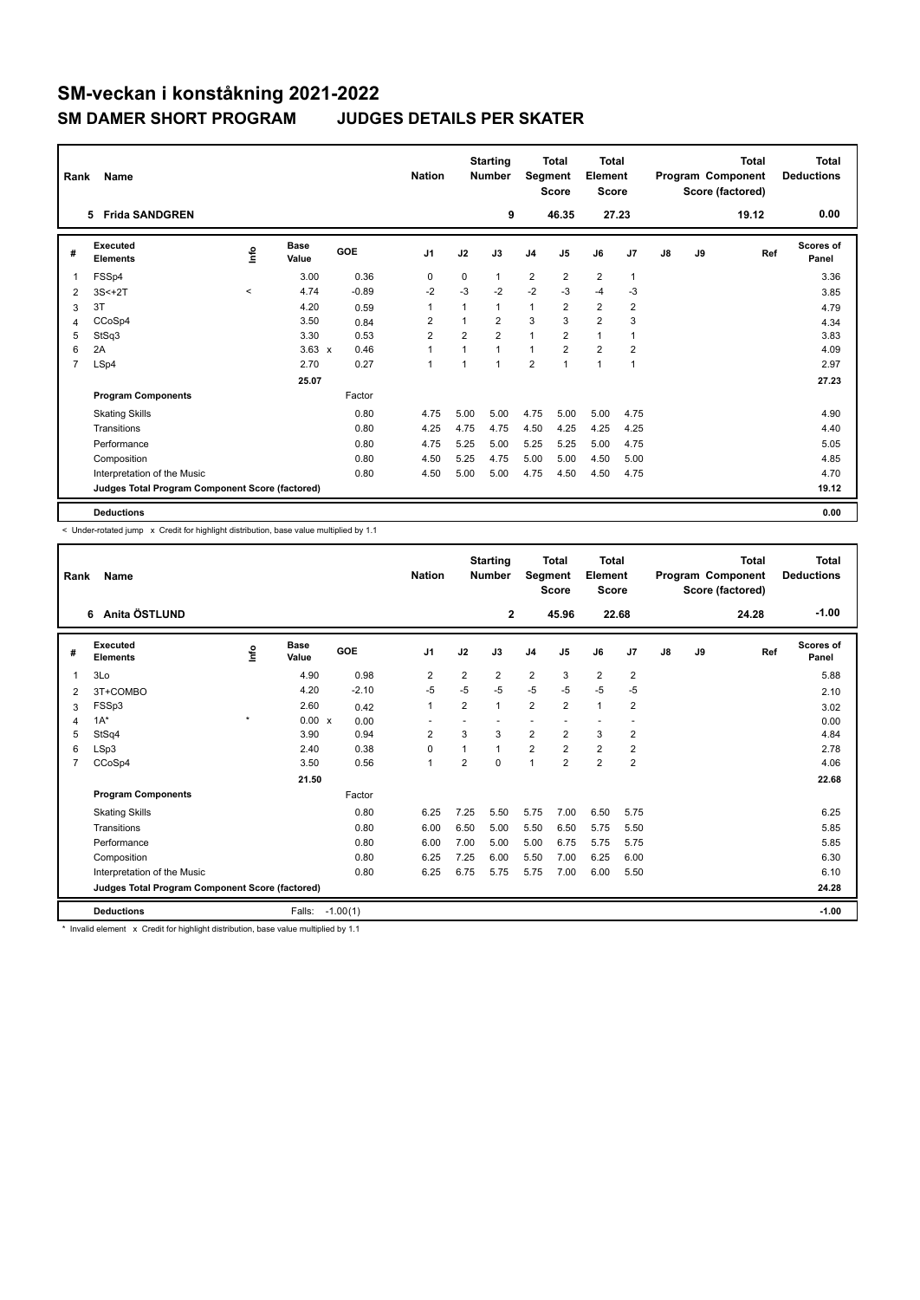| Rank | Name                                            |         |                      |         | <b>Nation</b>  |                | <b>Starting</b><br><b>Number</b> |                         | <b>Total</b><br><b>Segment</b><br><b>Score</b> | <b>Total</b><br>Element<br><b>Score</b> |                |               |    | <b>Total</b><br>Program Component<br>Score (factored) | <b>Total</b><br><b>Deductions</b> |
|------|-------------------------------------------------|---------|----------------------|---------|----------------|----------------|----------------------------------|-------------------------|------------------------------------------------|-----------------------------------------|----------------|---------------|----|-------------------------------------------------------|-----------------------------------|
|      | 5 Frida SANDGREN                                |         |                      |         |                |                | 9                                |                         | 46.35                                          |                                         | 27.23          |               |    | 19.12                                                 | 0.00                              |
| #    | Executed<br><b>Elements</b>                     | Info    | <b>Base</b><br>Value | GOE     | J <sub>1</sub> | J2             | J3                               | J <sub>4</sub>          | J <sub>5</sub>                                 | J6                                      | J <sub>7</sub> | $\mathsf{J}8$ | J9 | Ref                                                   | <b>Scores of</b><br>Panel         |
| 1    | FSSp4                                           |         | 3.00                 | 0.36    | 0              | 0              | $\mathbf{1}$                     | $\overline{2}$          | $\overline{2}$                                 | $\overline{2}$                          | 1              |               |    |                                                       | 3.36                              |
| 2    | $3S<+2T$                                        | $\prec$ | 4.74                 | $-0.89$ | $-2$           | $-3$           | $-2$                             | $-2$                    | $-3$                                           | $-4$                                    | $-3$           |               |    |                                                       | 3.85                              |
| 3    | 3T                                              |         | 4.20                 | 0.59    | 1              |                | $\mathbf{1}$                     | 1                       | 2                                              | $\overline{2}$                          | 2              |               |    |                                                       | 4.79                              |
| 4    | CCoSp4                                          |         | 3.50                 | 0.84    | $\overline{2}$ | 1              | $\overline{2}$                   | 3                       | 3                                              | $\overline{2}$                          | 3              |               |    |                                                       | 4.34                              |
| 5    | StSq3                                           |         | 3.30                 | 0.53    | $\overline{2}$ | $\overline{2}$ | $\overline{2}$                   | $\mathbf{1}$            | $\overline{2}$                                 | $\mathbf{1}$                            |                |               |    |                                                       | 3.83                              |
| 6    | 2A                                              |         | $3.63 \times$        | 0.46    | 1              | 1              | $\mathbf{1}$                     | $\mathbf{1}$            | $\overline{2}$                                 | $\overline{2}$                          | $\overline{2}$ |               |    |                                                       | 4.09                              |
| 7    | LSp4                                            |         | 2.70                 | 0.27    | 1              | 1              | $\overline{1}$                   | $\overline{\mathbf{c}}$ | 1                                              | $\mathbf{1}$                            | 1              |               |    |                                                       | 2.97                              |
|      |                                                 |         | 25.07                |         |                |                |                                  |                         |                                                |                                         |                |               |    |                                                       | 27.23                             |
|      | <b>Program Components</b>                       |         |                      | Factor  |                |                |                                  |                         |                                                |                                         |                |               |    |                                                       |                                   |
|      | <b>Skating Skills</b>                           |         |                      | 0.80    | 4.75           | 5.00           | 5.00                             | 4.75                    | 5.00                                           | 5.00                                    | 4.75           |               |    |                                                       | 4.90                              |
|      | Transitions                                     |         |                      | 0.80    | 4.25           | 4.75           | 4.75                             | 4.50                    | 4.25                                           | 4.25                                    | 4.25           |               |    |                                                       | 4.40                              |
|      | Performance                                     |         |                      | 0.80    | 4.75           | 5.25           | 5.00                             | 5.25                    | 5.25                                           | 5.00                                    | 4.75           |               |    |                                                       | 5.05                              |
|      | Composition                                     |         |                      | 0.80    | 4.50           | 5.25           | 4.75                             | 5.00                    | 5.00                                           | 4.50                                    | 5.00           |               |    |                                                       | 4.85                              |
|      | Interpretation of the Music                     |         |                      | 0.80    | 4.50           | 5.00           | 5.00                             | 4.75                    | 4.50                                           | 4.50                                    | 4.75           |               |    |                                                       | 4.70                              |
|      | Judges Total Program Component Score (factored) |         |                      |         |                |                |                                  |                         |                                                |                                         |                |               |    |                                                       | 19.12                             |
|      | <b>Deductions</b>                               |         |                      |         |                |                |                                  |                         |                                                |                                         |                |               |    |                                                       | 0.00                              |

-<br>< Under-rotated jump x Credit for highlight distribution, base value multiplied by 1.1

| Rank | Name                                            |         |                      |            | <b>Nation</b>            |                | <b>Starting</b><br><b>Number</b> | Segment        | Total<br><b>Score</b> | <b>Total</b><br>Element<br><b>Score</b> |                          |    |    | <b>Total</b><br>Program Component<br>Score (factored) | <b>Total</b><br><b>Deductions</b> |
|------|-------------------------------------------------|---------|----------------------|------------|--------------------------|----------------|----------------------------------|----------------|-----------------------|-----------------------------------------|--------------------------|----|----|-------------------------------------------------------|-----------------------------------|
|      | Anita ÖSTLUND<br>6                              |         |                      |            |                          |                | $\mathbf{2}$                     |                | 45.96                 | 22.68                                   |                          |    |    | 24.28                                                 | $-1.00$                           |
| #    | Executed<br><b>Elements</b>                     | ١nf٥    | <b>Base</b><br>Value | GOE        | J <sub>1</sub>           | J2             | J3                               | J <sub>4</sub> | J <sub>5</sub>        | J6                                      | J7                       | J8 | J9 | Ref                                                   | <b>Scores of</b><br>Panel         |
| 1    | 3Lo                                             |         | 4.90                 | 0.98       | 2                        | $\overline{2}$ | 2                                | $\overline{2}$ | 3                     | $\overline{2}$                          | $\overline{2}$           |    |    |                                                       | 5.88                              |
| 2    | 3T+COMBO                                        |         | 4.20                 | $-2.10$    | $-5$                     | $-5$           | $-5$                             | $-5$           | $-5$                  | $-5$                                    | $-5$                     |    |    |                                                       | 2.10                              |
| 3    | FSSp3                                           |         | 2.60                 | 0.42       | $\mathbf{1}$             | 2              | 1                                | $\overline{2}$ | $\overline{2}$        | $\mathbf{1}$                            | 2                        |    |    |                                                       | 3.02                              |
| 4    | $1A^*$                                          | $\star$ | 0.00 x               | 0.00       | $\overline{\phantom{a}}$ |                |                                  |                |                       | $\overline{\phantom{a}}$                | $\overline{\phantom{a}}$ |    |    |                                                       | 0.00                              |
| 5    | StSq4                                           |         | 3.90                 | 0.94       | $\overline{2}$           | 3              | 3                                | $\overline{2}$ | $\overline{2}$        | 3                                       | $\overline{2}$           |    |    |                                                       | 4.84                              |
| 6    | LSp3                                            |         | 2.40                 | 0.38       | $\mathbf 0$              | 1              | 1                                | $\overline{2}$ | $\overline{2}$        | $\overline{2}$                          | $\overline{2}$           |    |    |                                                       | 2.78                              |
| 7    | CCoSp4                                          |         | 3.50                 | 0.56       | $\mathbf{1}$             | $\overline{2}$ | $\Omega$                         | $\overline{1}$ | $\overline{2}$        | $\overline{2}$                          | $\overline{2}$           |    |    |                                                       | 4.06                              |
|      |                                                 |         | 21.50                |            |                          |                |                                  |                |                       |                                         |                          |    |    |                                                       | 22.68                             |
|      | <b>Program Components</b>                       |         |                      | Factor     |                          |                |                                  |                |                       |                                         |                          |    |    |                                                       |                                   |
|      | <b>Skating Skills</b>                           |         |                      | 0.80       | 6.25                     | 7.25           | 5.50                             | 5.75           | 7.00                  | 6.50                                    | 5.75                     |    |    |                                                       | 6.25                              |
|      | Transitions                                     |         |                      | 0.80       | 6.00                     | 6.50           | 5.00                             | 5.50           | 6.50                  | 5.75                                    | 5.50                     |    |    |                                                       | 5.85                              |
|      | Performance                                     |         |                      | 0.80       | 6.00                     | 7.00           | 5.00                             | 5.00           | 6.75                  | 5.75                                    | 5.75                     |    |    |                                                       | 5.85                              |
|      | Composition                                     |         |                      | 0.80       | 6.25                     | 7.25           | 6.00                             | 5.50           | 7.00                  | 6.25                                    | 6.00                     |    |    |                                                       | 6.30                              |
|      | Interpretation of the Music                     |         |                      | 0.80       | 6.25                     | 6.75           | 5.75                             | 5.75           | 7.00                  | 6.00                                    | 5.50                     |    |    |                                                       | 6.10                              |
|      | Judges Total Program Component Score (factored) |         |                      |            |                          |                |                                  |                |                       |                                         |                          |    |    |                                                       | 24.28                             |
|      | <b>Deductions</b>                               |         | Falls:               | $-1.00(1)$ |                          |                |                                  |                |                       |                                         |                          |    |    |                                                       | $-1.00$                           |

\* Invalid element x Credit for highlight distribution, base value multiplied by 1.1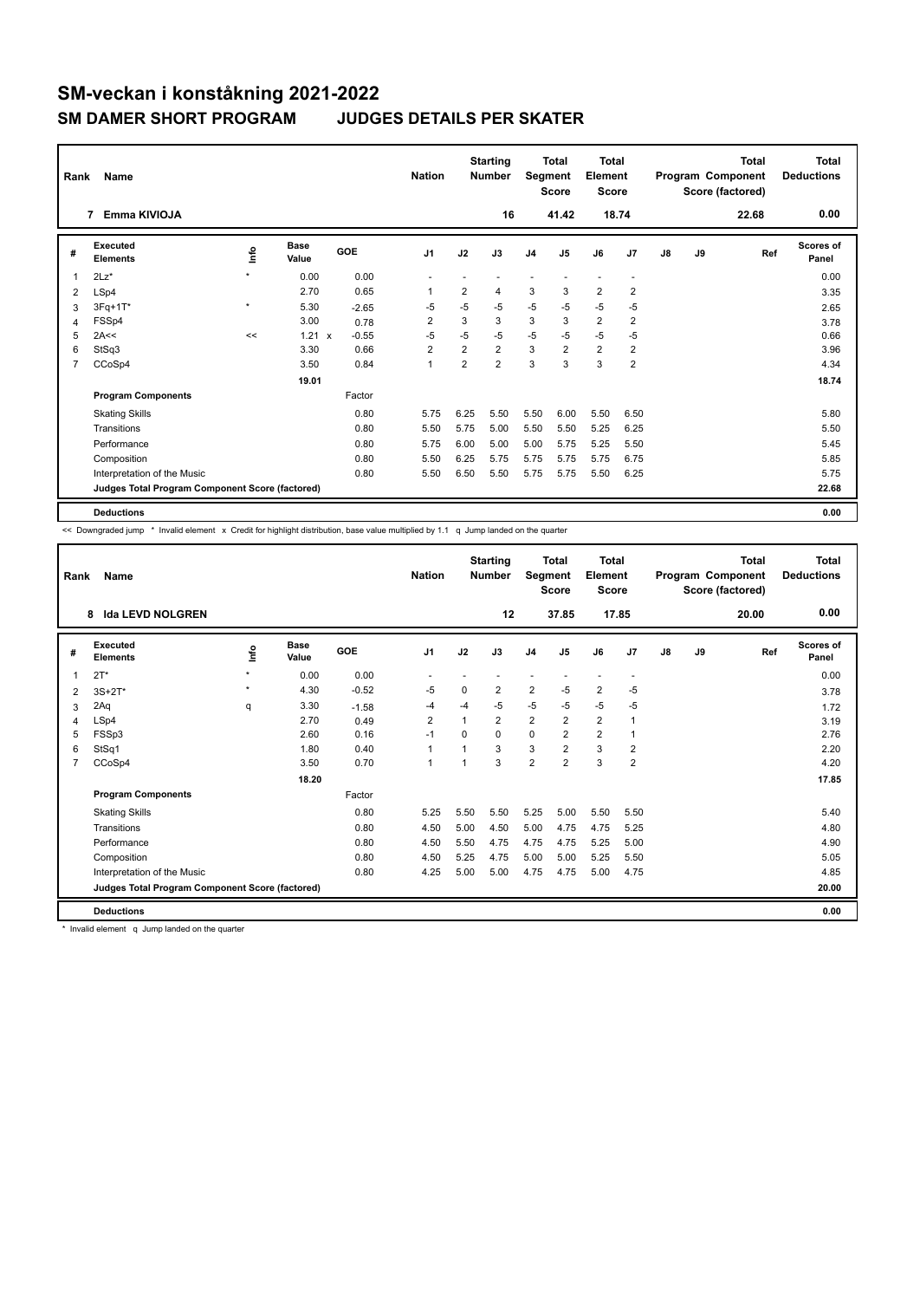| Rank | Name                                            |         | <b>Nation</b>        |            | <b>Starting</b><br><b>Number</b> | Segment        | <b>Total</b><br><b>Score</b> | <b>Total</b><br>Element<br><b>Score</b> |                |                |                          | <b>Total</b><br>Program Component<br>Score (factored) | Total<br><b>Deductions</b> |       |                           |
|------|-------------------------------------------------|---------|----------------------|------------|----------------------------------|----------------|------------------------------|-----------------------------------------|----------------|----------------|--------------------------|-------------------------------------------------------|----------------------------|-------|---------------------------|
|      | Emma KIVIOJA<br>7                               |         |                      |            |                                  |                | 16                           |                                         | 41.42          |                | 18.74                    |                                                       |                            | 22.68 | 0.00                      |
| #    | Executed<br><b>Elements</b>                     | lnfo    | <b>Base</b><br>Value | <b>GOE</b> | J <sub>1</sub>                   | J2             | J3                           | J <sub>4</sub>                          | J <sub>5</sub> | J6             | J7                       | J8                                                    | J9                         | Ref   | <b>Scores of</b><br>Panel |
| 1    | $2Lz$ *                                         | $\star$ | 0.00                 | 0.00       |                                  |                |                              |                                         |                |                | $\overline{\phantom{a}}$ |                                                       |                            |       | 0.00                      |
| 2    | LSp4                                            |         | 2.70                 | 0.65       | 1                                | $\overline{2}$ | 4                            | 3                                       | 3              | $\overline{2}$ | 2                        |                                                       |                            |       | 3.35                      |
| 3    | $3Fq+1T*$                                       | $\star$ | 5.30                 | $-2.65$    | $-5$                             | $-5$           | $-5$                         | $-5$                                    | $-5$           | $-5$           | $-5$                     |                                                       |                            |       | 2.65                      |
| 4    | FSSp4                                           |         | 3.00                 | 0.78       | $\overline{2}$                   | 3              | 3                            | 3                                       | 3              | $\overline{2}$ | $\overline{2}$           |                                                       |                            |       | 3.78                      |
| 5    | 2A<<                                            | <<      | 1.21<br>$\mathsf{x}$ | $-0.55$    | $-5$                             | $-5$           | $-5$                         | $-5$                                    | $-5$           | $-5$           | $-5$                     |                                                       |                            |       | 0.66                      |
| 6    | StSq3                                           |         | 3.30                 | 0.66       | $\overline{2}$                   | $\overline{2}$ | $\overline{2}$               | 3                                       | $\overline{2}$ | $\overline{2}$ | $\overline{\mathbf{c}}$  |                                                       |                            |       | 3.96                      |
| 7    | CCoSp4                                          |         | 3.50                 | 0.84       | $\overline{1}$                   | $\overline{2}$ | $\overline{2}$               | 3                                       | 3              | 3              | $\overline{2}$           |                                                       |                            |       | 4.34                      |
|      |                                                 |         | 19.01                |            |                                  |                |                              |                                         |                |                |                          |                                                       |                            |       | 18.74                     |
|      | <b>Program Components</b>                       |         |                      | Factor     |                                  |                |                              |                                         |                |                |                          |                                                       |                            |       |                           |
|      | <b>Skating Skills</b>                           |         |                      | 0.80       | 5.75                             | 6.25           | 5.50                         | 5.50                                    | 6.00           | 5.50           | 6.50                     |                                                       |                            |       | 5.80                      |
|      | Transitions                                     |         |                      | 0.80       | 5.50                             | 5.75           | 5.00                         | 5.50                                    | 5.50           | 5.25           | 6.25                     |                                                       |                            |       | 5.50                      |
|      | Performance                                     |         |                      | 0.80       | 5.75                             | 6.00           | 5.00                         | 5.00                                    | 5.75           | 5.25           | 5.50                     |                                                       |                            |       | 5.45                      |
|      | Composition                                     |         |                      | 0.80       | 5.50                             | 6.25           | 5.75                         | 5.75                                    | 5.75           | 5.75           | 6.75                     |                                                       |                            |       | 5.85                      |
|      | Interpretation of the Music                     |         |                      | 0.80       | 5.50                             | 6.50           | 5.50                         | 5.75                                    | 5.75           | 5.50           | 6.25                     |                                                       |                            |       | 5.75                      |
|      | Judges Total Program Component Score (factored) |         |                      |            |                                  |                |                              |                                         |                |                |                          |                                                       |                            |       | 22.68                     |
|      | <b>Deductions</b>                               |         |                      |            |                                  |                |                              |                                         |                |                |                          |                                                       |                            |       | 0.00                      |

<< Downgraded jump \* Invalid element x Credit for highlight distribution, base value multiplied by 1.1 q Jump landed on the quarter

| Rank           | Name                                            |         |                      |            | <b>Nation</b>  |          | <b>Starting</b><br><b>Number</b> | Segment        | <b>Total</b><br><b>Score</b> | <b>Total</b><br>Element<br><b>Score</b> |                          |               |    | <b>Total</b><br>Program Component<br>Score (factored) | <b>Total</b><br><b>Deductions</b> |
|----------------|-------------------------------------------------|---------|----------------------|------------|----------------|----------|----------------------------------|----------------|------------------------------|-----------------------------------------|--------------------------|---------------|----|-------------------------------------------------------|-----------------------------------|
|                | <b>Ida LEVD NOLGREN</b><br>8                    |         |                      |            |                |          | 12                               |                | 37.85                        |                                         | 17.85                    |               |    | 20.00                                                 | 0.00                              |
| #              | Executed<br><b>Elements</b>                     | Info    | <b>Base</b><br>Value | <b>GOE</b> | J <sub>1</sub> | J2       | J3                               | J <sub>4</sub> | J <sub>5</sub>               | J6                                      | J7                       | $\mathsf{J}8$ | J9 | Ref                                                   | <b>Scores of</b><br>Panel         |
| 1              | $2T^*$                                          | $\star$ | 0.00                 | 0.00       |                |          |                                  |                |                              |                                         | $\overline{\phantom{a}}$ |               |    |                                                       | 0.00                              |
| 2              | $3S+2T*$                                        | $\star$ | 4.30                 | $-0.52$    | -5             | 0        | $\overline{2}$                   | $\overline{2}$ | $-5$                         | $\overline{2}$                          | $-5$                     |               |    |                                                       | 3.78                              |
| 3              | 2Aq                                             | q       | 3.30                 | $-1.58$    | -4             | $-4$     | $-5$                             | $-5$           | $-5$                         | $-5$                                    | $-5$                     |               |    |                                                       | 1.72                              |
| 4              | LSp4                                            |         | 2.70                 | 0.49       | $\overline{2}$ | 1        | $\overline{2}$                   | $\overline{2}$ | $\overline{2}$               | $\overline{2}$                          | $\mathbf{1}$             |               |    |                                                       | 3.19                              |
| 5              | FSSp3                                           |         | 2.60                 | 0.16       | $-1$           | $\Omega$ | 0                                | $\mathbf 0$    | $\overline{2}$               | $\overline{2}$                          | $\mathbf{1}$             |               |    |                                                       | 2.76                              |
| 6              | StSq1                                           |         | 1.80                 | 0.40       | $\mathbf{1}$   |          | 3                                | 3              | $\overline{2}$               | 3                                       | $\overline{2}$           |               |    |                                                       | 2.20                              |
| $\overline{7}$ | CCoSp4                                          |         | 3.50                 | 0.70       | $\mathbf{1}$   | 1        | 3                                | $\overline{2}$ | $\overline{2}$               | 3                                       | $\overline{2}$           |               |    |                                                       | 4.20                              |
|                |                                                 |         | 18.20                |            |                |          |                                  |                |                              |                                         |                          |               |    |                                                       | 17.85                             |
|                | <b>Program Components</b>                       |         |                      | Factor     |                |          |                                  |                |                              |                                         |                          |               |    |                                                       |                                   |
|                | <b>Skating Skills</b>                           |         |                      | 0.80       | 5.25           | 5.50     | 5.50                             | 5.25           | 5.00                         | 5.50                                    | 5.50                     |               |    |                                                       | 5.40                              |
|                | Transitions                                     |         |                      | 0.80       | 4.50           | 5.00     | 4.50                             | 5.00           | 4.75                         | 4.75                                    | 5.25                     |               |    |                                                       | 4.80                              |
|                | Performance                                     |         |                      | 0.80       | 4.50           | 5.50     | 4.75                             | 4.75           | 4.75                         | 5.25                                    | 5.00                     |               |    |                                                       | 4.90                              |
|                | Composition                                     |         |                      | 0.80       | 4.50           | 5.25     | 4.75                             | 5.00           | 5.00                         | 5.25                                    | 5.50                     |               |    |                                                       | 5.05                              |
|                | Interpretation of the Music                     |         |                      | 0.80       | 4.25           | 5.00     | 5.00                             | 4.75           | 4.75                         | 5.00                                    | 4.75                     |               |    |                                                       | 4.85                              |
|                | Judges Total Program Component Score (factored) |         |                      |            |                |          |                                  |                |                              |                                         |                          |               |    |                                                       | 20.00                             |
|                | <b>Deductions</b>                               |         |                      |            |                |          |                                  |                |                              |                                         |                          |               |    |                                                       | 0.00                              |

\* Invalid element q Jump landed on the quarter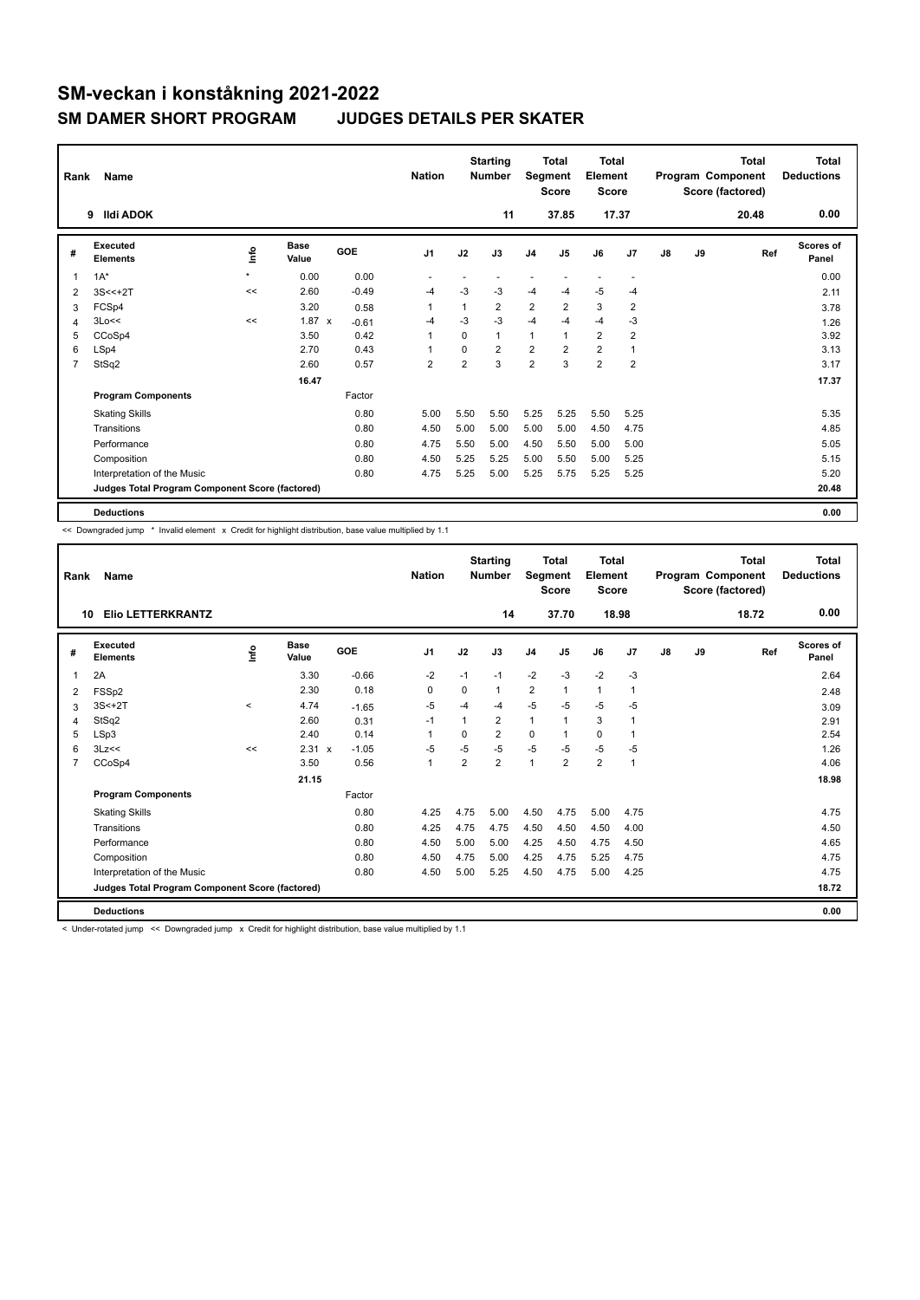| Rank           | Name                                            |         | <b>Nation</b>        |            | <b>Starting</b><br><b>Number</b> | Segment        | <b>Total</b><br><b>Score</b> | <b>Total</b><br>Element<br><b>Score</b> |                |                |                | <b>Total</b><br>Program Component<br>Score (factored) | <b>Total</b><br><b>Deductions</b> |       |                    |
|----------------|-------------------------------------------------|---------|----------------------|------------|----------------------------------|----------------|------------------------------|-----------------------------------------|----------------|----------------|----------------|-------------------------------------------------------|-----------------------------------|-------|--------------------|
|                | <b>Ildi ADOK</b><br>9                           |         |                      |            |                                  |                | 11                           |                                         | 37.85          | 17.37          |                |                                                       |                                   | 20.48 | 0.00               |
| #              | Executed<br><b>Elements</b>                     | lnfo    | <b>Base</b><br>Value | <b>GOE</b> | J <sub>1</sub>                   | J2             | J3                           | J <sub>4</sub>                          | J <sub>5</sub> | J6             | J7             | J8                                                    | J9                                | Ref   | Scores of<br>Panel |
| 1              | $1A^*$                                          | $\star$ | 0.00                 | 0.00       |                                  |                |                              |                                         |                |                | ٠              |                                                       |                                   |       | 0.00               |
| $\overline{2}$ | $3S < +2T$                                      | <<      | 2.60                 | $-0.49$    | $-4$                             | -3             | -3                           | $-4$                                    | $-4$           | $-5$           | $-4$           |                                                       |                                   |       | 2.11               |
| 3              | FCSp4                                           |         | 3.20                 | 0.58       | 1                                | 1              | $\overline{2}$               | $\overline{2}$                          | $\overline{2}$ | 3              | $\overline{2}$ |                                                       |                                   |       | 3.78               |
| 4              | 3Lo<<                                           | <<      | $1.87 \times$        | $-0.61$    | $-4$                             | $-3$           | $-3$                         | $-4$                                    | $-4$           | $-4$           | -3             |                                                       |                                   |       | 1.26               |
| 5              | CCoSp4                                          |         | 3.50                 | 0.42       | $\overline{1}$                   | $\Omega$       | $\mathbf{1}$                 | 1                                       |                | $\overline{2}$ | 2              |                                                       |                                   |       | 3.92               |
| 6              | LSp4                                            |         | 2.70                 | 0.43       | 1                                | 0              | $\overline{2}$               | $\overline{2}$                          | $\overline{2}$ | $\overline{2}$ | $\overline{1}$ |                                                       |                                   |       | 3.13               |
| $\overline{7}$ | StSq2                                           |         | 2.60                 | 0.57       | $\overline{2}$                   | $\overline{2}$ | 3                            | $\overline{2}$                          | 3              | $\overline{2}$ | $\overline{2}$ |                                                       |                                   |       | 3.17               |
|                |                                                 |         | 16.47                |            |                                  |                |                              |                                         |                |                |                |                                                       |                                   |       | 17.37              |
|                | <b>Program Components</b>                       |         |                      | Factor     |                                  |                |                              |                                         |                |                |                |                                                       |                                   |       |                    |
|                | <b>Skating Skills</b>                           |         |                      | 0.80       | 5.00                             | 5.50           | 5.50                         | 5.25                                    | 5.25           | 5.50           | 5.25           |                                                       |                                   |       | 5.35               |
|                | Transitions                                     |         |                      | 0.80       | 4.50                             | 5.00           | 5.00                         | 5.00                                    | 5.00           | 4.50           | 4.75           |                                                       |                                   |       | 4.85               |
|                | Performance                                     |         |                      | 0.80       | 4.75                             | 5.50           | 5.00                         | 4.50                                    | 5.50           | 5.00           | 5.00           |                                                       |                                   |       | 5.05               |
|                | Composition                                     |         |                      | 0.80       | 4.50                             | 5.25           | 5.25                         | 5.00                                    | 5.50           | 5.00           | 5.25           |                                                       |                                   |       | 5.15               |
|                | Interpretation of the Music                     |         |                      | 0.80       | 4.75                             | 5.25           | 5.00                         | 5.25                                    | 5.75           | 5.25           | 5.25           |                                                       |                                   |       | 5.20               |
|                | Judges Total Program Component Score (factored) |         |                      |            |                                  |                |                              |                                         |                |                |                |                                                       |                                   |       | 20.48              |
|                | <b>Deductions</b>                               |         |                      |            |                                  |                |                              |                                         |                |                |                |                                                       |                                   |       | 0.00               |

-<br><< Downgraded jump \* Invalid element x Credit for highlight distribution, base value multiplied by 1.1

| Rank | Name                                            |         |                      |         | <b>Nation</b>  |                | <b>Starting</b><br><b>Number</b> | Segment        | <b>Total</b><br><b>Score</b> | Total<br>Element<br><b>Score</b> |              |    |    | Total<br>Program Component<br>Score (factored) | <b>Total</b><br><b>Deductions</b> |
|------|-------------------------------------------------|---------|----------------------|---------|----------------|----------------|----------------------------------|----------------|------------------------------|----------------------------------|--------------|----|----|------------------------------------------------|-----------------------------------|
| 10   | <b>Elio LETTERKRANTZ</b>                        |         |                      |         |                |                | 14                               |                | 37.70                        | 18.98                            |              |    |    | 18.72                                          | 0.00                              |
| #    | Executed<br><b>Elements</b>                     | lnfo    | <b>Base</b><br>Value | GOE     | J <sub>1</sub> | J2             | J3                               | J <sub>4</sub> | J <sub>5</sub>               | J6                               | J7           | J8 | J9 | Ref                                            | <b>Scores of</b><br>Panel         |
|      | 2A                                              |         | 3.30                 | $-0.66$ | $-2$           | $-1$           | $-1$                             | $-2$           | $-3$                         | $-2$                             | $-3$         |    |    |                                                | 2.64                              |
| 2    | FSSp2                                           |         | 2.30                 | 0.18    | $\Omega$       | 0              | 1                                | $\overline{2}$ | $\mathbf{1}$                 | $\mathbf{1}$                     | $\mathbf 1$  |    |    |                                                | 2.48                              |
| 3    | $3S<+2T$                                        | $\prec$ | 4.74                 | $-1.65$ | $-5$           | $-4$           | $-4$                             | $-5$           | $-5$                         | $-5$                             | $-5$         |    |    |                                                | 3.09                              |
| 4    | StSq2                                           |         | 2.60                 | 0.31    | $-1$           | 1              | $\overline{2}$                   | $\mathbf{1}$   | 1                            | 3                                | $\mathbf{1}$ |    |    |                                                | 2.91                              |
| 5    | LSp3                                            |         | 2.40                 | 0.14    | 1              | 0              | $\overline{2}$                   | 0              | 1                            | 0                                | $\mathbf 1$  |    |    |                                                | 2.54                              |
| 6    | 3Lz<<                                           | <<      | $2.31 \times$        | $-1.05$ | $-5$           | $-5$           | $-5$                             | $-5$           | $-5$                         | $-5$                             | $-5$         |    |    |                                                | 1.26                              |
| 7    | CCoSp4                                          |         | 3.50                 | 0.56    | 1              | $\overline{2}$ | $\overline{2}$                   | $\mathbf{1}$   | $\overline{2}$               | $\overline{2}$                   | $\mathbf{1}$ |    |    |                                                | 4.06                              |
|      |                                                 |         | 21.15                |         |                |                |                                  |                |                              |                                  |              |    |    |                                                | 18.98                             |
|      | <b>Program Components</b>                       |         |                      | Factor  |                |                |                                  |                |                              |                                  |              |    |    |                                                |                                   |
|      | <b>Skating Skills</b>                           |         |                      | 0.80    | 4.25           | 4.75           | 5.00                             | 4.50           | 4.75                         | 5.00                             | 4.75         |    |    |                                                | 4.75                              |
|      | Transitions                                     |         |                      | 0.80    | 4.25           | 4.75           | 4.75                             | 4.50           | 4.50                         | 4.50                             | 4.00         |    |    |                                                | 4.50                              |
|      | Performance                                     |         |                      | 0.80    | 4.50           | 5.00           | 5.00                             | 4.25           | 4.50                         | 4.75                             | 4.50         |    |    |                                                | 4.65                              |
|      | Composition                                     |         |                      | 0.80    | 4.50           | 4.75           | 5.00                             | 4.25           | 4.75                         | 5.25                             | 4.75         |    |    |                                                | 4.75                              |
|      | Interpretation of the Music                     |         |                      | 0.80    | 4.50           | 5.00           | 5.25                             | 4.50           | 4.75                         | 5.00                             | 4.25         |    |    |                                                | 4.75                              |
|      | Judges Total Program Component Score (factored) |         |                      |         |                |                |                                  |                |                              |                                  |              |    |    |                                                | 18.72                             |
|      | <b>Deductions</b>                               |         |                      |         |                |                |                                  |                |                              |                                  |              |    |    |                                                | 0.00                              |

-<br>< Under-rotated jump << Downgraded jump x Credit for highlight distribution, base value multiplied by 1.1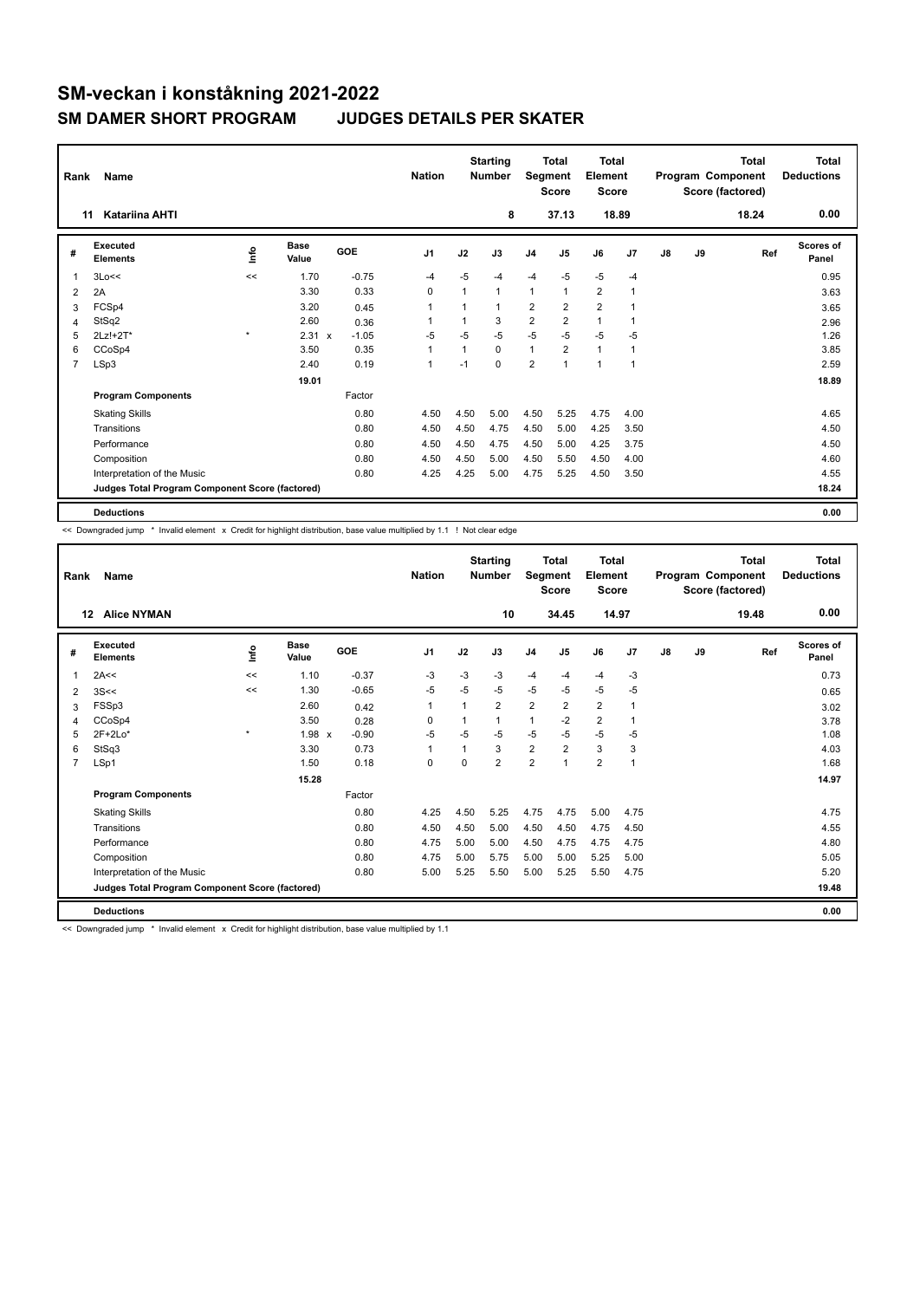| Rank           | Name                                            |      | <b>Nation</b> |            | <b>Starting</b><br><b>Number</b> | Segment | <b>Total</b><br><b>Score</b> | <b>Total</b><br>Element<br><b>Score</b> |                         |                |                | <b>Total</b><br>Program Component<br>Score (factored) | <b>Total</b><br><b>Deductions</b> |       |                    |
|----------------|-------------------------------------------------|------|---------------|------------|----------------------------------|---------|------------------------------|-----------------------------------------|-------------------------|----------------|----------------|-------------------------------------------------------|-----------------------------------|-------|--------------------|
|                | <b>Katariina AHTI</b><br>11                     |      |               |            |                                  |         | 8                            |                                         | 37.13                   |                | 18.89          |                                                       |                                   | 18.24 | 0.00               |
| #              | Executed<br><b>Elements</b>                     | ١nfo | Base<br>Value | <b>GOE</b> | J <sub>1</sub>                   | J2      | J3                           | J <sub>4</sub>                          | J <sub>5</sub>          | J6             | J <sub>7</sub> | J8                                                    | J9                                | Ref   | Scores of<br>Panel |
| 1              | 3Lo<<                                           | <<   | 1.70          | $-0.75$    | $-4$                             | $-5$    | -4                           | $-4$                                    | $-5$                    | $-5$           | $-4$           |                                                       |                                   |       | 0.95               |
| $\overline{2}$ | 2A                                              |      | 3.30          | 0.33       | 0                                | 1       | $\mathbf{1}$                 | $\mathbf{1}$                            | $\mathbf{1}$            | $\overline{2}$ | $\overline{1}$ |                                                       |                                   |       | 3.63               |
| 3              | FCSp4                                           |      | 3.20          | 0.45       | 1                                |         | 1                            | $\overline{2}$                          | $\overline{2}$          | $\overline{2}$ |                |                                                       |                                   |       | 3.65               |
| 4              | StSq2                                           |      | 2.60          | 0.36       | 1                                |         | 3                            | $\overline{2}$                          | $\overline{\mathbf{c}}$ | $\mathbf{1}$   |                |                                                       |                                   |       | 2.96               |
| 5              | 2Lz!+2T*                                        | ٠    | 2.31 x        | $-1.05$    | $-5$                             | $-5$    | $-5$                         | $-5$                                    | $-5$                    | $-5$           | $-5$           |                                                       |                                   |       | 1.26               |
| 6              | CCoSp4                                          |      | 3.50          | 0.35       | 1                                | 1       | $\Omega$                     | $\mathbf{1}$                            | $\overline{2}$          | $\mathbf{1}$   | 1              |                                                       |                                   |       | 3.85               |
| 7              | LSp3                                            |      | 2.40          | 0.19       | 1                                | $-1$    | $\Omega$                     | $\overline{\mathbf{c}}$                 |                         | $\mathbf{1}$   | $\overline{1}$ |                                                       |                                   |       | 2.59               |
|                |                                                 |      | 19.01         |            |                                  |         |                              |                                         |                         |                |                |                                                       |                                   |       | 18.89              |
|                | <b>Program Components</b>                       |      |               | Factor     |                                  |         |                              |                                         |                         |                |                |                                                       |                                   |       |                    |
|                | <b>Skating Skills</b>                           |      |               | 0.80       | 4.50                             | 4.50    | 5.00                         | 4.50                                    | 5.25                    | 4.75           | 4.00           |                                                       |                                   |       | 4.65               |
|                | Transitions                                     |      |               | 0.80       | 4.50                             | 4.50    | 4.75                         | 4.50                                    | 5.00                    | 4.25           | 3.50           |                                                       |                                   |       | 4.50               |
|                | Performance                                     |      |               | 0.80       | 4.50                             | 4.50    | 4.75                         | 4.50                                    | 5.00                    | 4.25           | 3.75           |                                                       |                                   |       | 4.50               |
|                | Composition                                     |      |               | 0.80       | 4.50                             | 4.50    | 5.00                         | 4.50                                    | 5.50                    | 4.50           | 4.00           |                                                       |                                   |       | 4.60               |
|                | Interpretation of the Music                     |      |               | 0.80       | 4.25                             | 4.25    | 5.00                         | 4.75                                    | 5.25                    | 4.50           | 3.50           |                                                       |                                   |       | 4.55               |
|                | Judges Total Program Component Score (factored) |      |               |            |                                  |         |                              |                                         |                         |                |                |                                                       |                                   |       | 18.24              |
|                | <b>Deductions</b>                               |      |               |            |                                  |         |                              |                                         |                         |                |                |                                                       |                                   |       | 0.00               |

<< Downgraded jump \* Invalid element x Credit for highlight distribution, base value multiplied by 1.1 ! Not clear edge

| Rank           | Name                                            |             |                      |                         | <b>Nation</b>  |          | <b>Starting</b><br><b>Number</b> | Segment        | Total<br><b>Score</b> | <b>Total</b><br>Element<br><b>Score</b> |                |    |    | Total<br>Program Component<br>Score (factored) | <b>Total</b><br><b>Deductions</b> |
|----------------|-------------------------------------------------|-------------|----------------------|-------------------------|----------------|----------|----------------------------------|----------------|-----------------------|-----------------------------------------|----------------|----|----|------------------------------------------------|-----------------------------------|
|                | <b>Alice NYMAN</b><br>12                        |             |                      |                         |                |          | 10                               |                | 34.45                 | 14.97                                   |                |    |    | 19.48                                          | 0.00                              |
| #              | Executed<br><b>Elements</b>                     | <u>lnfo</u> | <b>Base</b><br>Value | GOE                     | J <sub>1</sub> | J2       | J3                               | J <sub>4</sub> | J5                    | J6                                      | J7             | J8 | J9 | Ref                                            | Scores of<br>Panel                |
| 1              | 2A<<                                            | <<          | 1.10                 | $-0.37$                 | -3             | $-3$     | $-3$                             | $-4$           | $-4$                  | $-4$                                    | $-3$           |    |    |                                                | 0.73                              |
| 2              | 3S <                                            | <<          | 1.30                 | $-0.65$                 | $-5$           | $-5$     | $-5$                             | $-5$           | $-5$                  | $-5$                                    | $-5$           |    |    |                                                | 0.65                              |
| 3              | FSSp3                                           |             | 2.60                 | 0.42                    | $\mathbf{1}$   |          | $\overline{2}$                   | $\overline{2}$ | $\overline{2}$        | $\overline{\mathbf{c}}$                 | 1              |    |    |                                                | 3.02                              |
| $\overline{4}$ | CCoSp4                                          |             | 3.50                 | 0.28                    | 0              |          | 1                                | $\mathbf{1}$   | $-2$                  | $\overline{2}$                          | $\mathbf{1}$   |    |    |                                                | 3.78                              |
| 5              | $2F+2Lo*$                                       | $\star$     | 1.98                 | $-0.90$<br>$\mathsf{x}$ | $-5$           | $-5$     | $-5$                             | $-5$           | $-5$                  | $-5$                                    | $-5$           |    |    |                                                | 1.08                              |
| 6              | StSq3                                           |             | 3.30                 | 0.73                    | 1              |          | 3                                | $\overline{2}$ | $\overline{2}$        | 3                                       | 3              |    |    |                                                | 4.03                              |
| 7              | LSp1                                            |             | 1.50                 | 0.18                    | 0              | $\Omega$ | $\overline{2}$                   | $\overline{2}$ |                       | $\overline{2}$                          | $\overline{1}$ |    |    |                                                | 1.68                              |
|                |                                                 |             | 15.28                |                         |                |          |                                  |                |                       |                                         |                |    |    |                                                | 14.97                             |
|                | <b>Program Components</b>                       |             |                      | Factor                  |                |          |                                  |                |                       |                                         |                |    |    |                                                |                                   |
|                | <b>Skating Skills</b>                           |             |                      | 0.80                    | 4.25           | 4.50     | 5.25                             | 4.75           | 4.75                  | 5.00                                    | 4.75           |    |    |                                                | 4.75                              |
|                | Transitions                                     |             |                      | 0.80                    | 4.50           | 4.50     | 5.00                             | 4.50           | 4.50                  | 4.75                                    | 4.50           |    |    |                                                | 4.55                              |
|                | Performance                                     |             |                      | 0.80                    | 4.75           | 5.00     | 5.00                             | 4.50           | 4.75                  | 4.75                                    | 4.75           |    |    |                                                | 4.80                              |
|                | Composition                                     |             |                      | 0.80                    | 4.75           | 5.00     | 5.75                             | 5.00           | 5.00                  | 5.25                                    | 5.00           |    |    |                                                | 5.05                              |
|                | Interpretation of the Music                     |             |                      | 0.80                    | 5.00           | 5.25     | 5.50                             | 5.00           | 5.25                  | 5.50                                    | 4.75           |    |    |                                                | 5.20                              |
|                | Judges Total Program Component Score (factored) |             |                      |                         |                |          |                                  |                |                       |                                         |                |    |    |                                                | 19.48                             |
|                | <b>Deductions</b>                               |             |                      |                         |                |          |                                  |                |                       |                                         |                |    |    |                                                | 0.00                              |

-<br><< Downgraded jump \* Invalid element x Credit for highlight distribution, base value multiplied by 1.1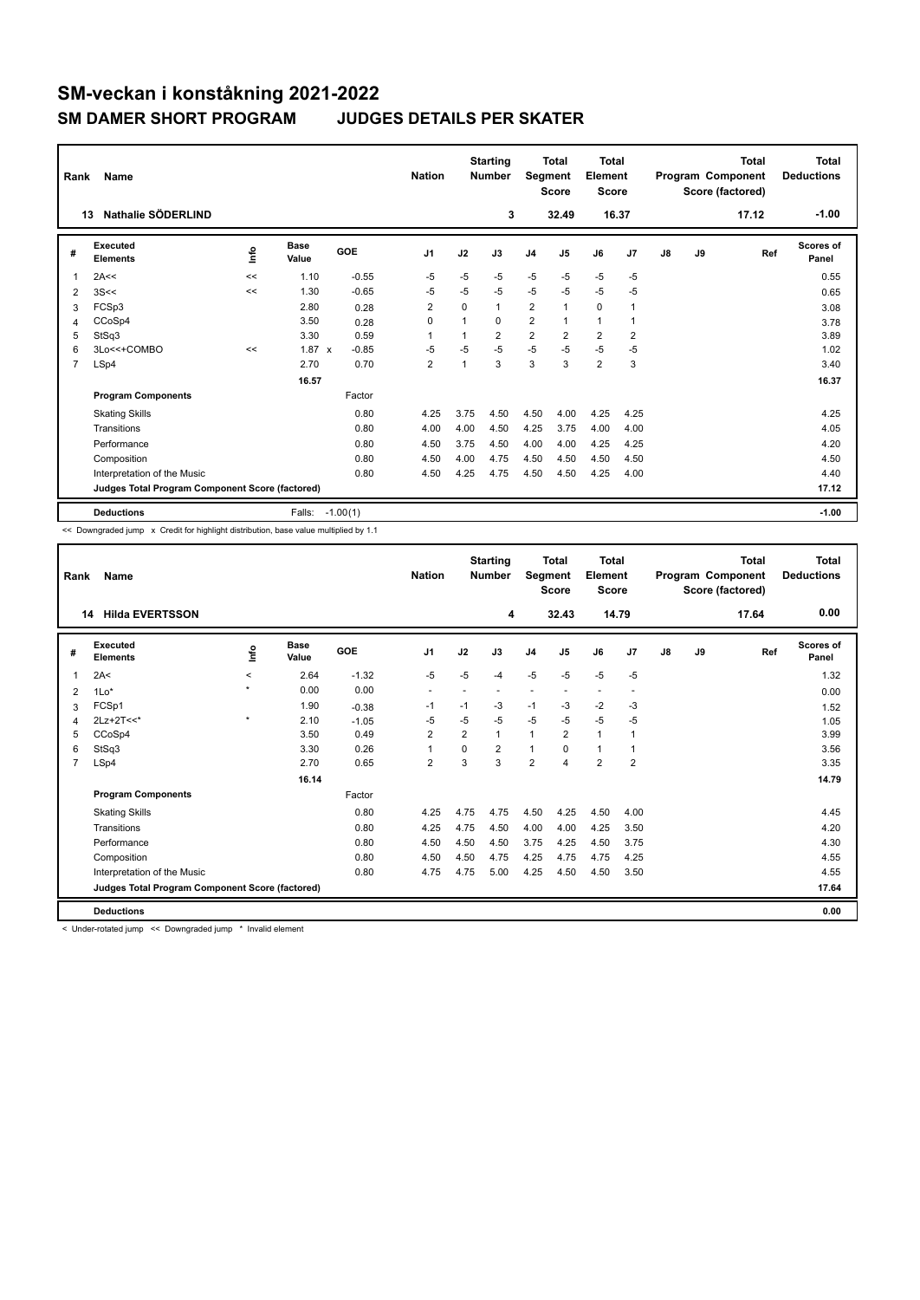| Rank           | Name                                            |             |                      |            | <b>Nation</b>  |      | <b>Starting</b><br><b>Number</b> | Segment        | <b>Total</b><br><b>Score</b> | <b>Total</b><br>Element<br><b>Score</b> |                |               |    | <b>Total</b><br>Program Component<br>Score (factored) | <b>Total</b><br><b>Deductions</b> |
|----------------|-------------------------------------------------|-------------|----------------------|------------|----------------|------|----------------------------------|----------------|------------------------------|-----------------------------------------|----------------|---------------|----|-------------------------------------------------------|-----------------------------------|
|                | Nathalie SÖDERLIND<br>13                        |             |                      |            |                |      | 3                                |                | 32.49                        |                                         | 16.37          |               |    | 17.12                                                 | $-1.00$                           |
| #              | Executed<br><b>Elements</b>                     | <u>info</u> | <b>Base</b><br>Value | GOE        | J <sub>1</sub> | J2   | J3                               | J <sub>4</sub> | J <sub>5</sub>               | J6                                      | J <sub>7</sub> | $\mathsf{J}8$ | J9 | Ref                                                   | Scores of<br>Panel                |
| 1              | 2A<<                                            | <<          | 1.10                 | $-0.55$    | $-5$           | $-5$ | $-5$                             | $-5$           | $-5$                         | $-5$                                    | $-5$           |               |    |                                                       | 0.55                              |
| 2              | 3S<<                                            | <<          | 1.30                 | $-0.65$    | -5             | $-5$ | $-5$                             | $-5$           | $-5$                         | $-5$                                    | $-5$           |               |    |                                                       | 0.65                              |
| 3              | FCSp3                                           |             | 2.80                 | 0.28       | $\overline{2}$ | 0    | $\mathbf{1}$                     | $\overline{2}$ | $\mathbf{1}$                 | $\mathbf 0$                             | 1              |               |    |                                                       | 3.08                              |
| 4              | CCoSp4                                          |             | 3.50                 | 0.28       | 0              |      | $\Omega$                         | $\overline{2}$ | $\mathbf{1}$                 | $\mathbf{1}$                            | 1              |               |    |                                                       | 3.78                              |
| 5              | StSq3                                           |             | 3.30                 | 0.59       | 1              |      | $\overline{2}$                   | $\overline{2}$ | $\overline{2}$               | $\overline{2}$                          | 2              |               |    |                                                       | 3.89                              |
| 6              | 3Lo<<+COMBO                                     | <<          | $1.87 \times$        | $-0.85$    | $-5$           | $-5$ | $-5$                             | $-5$           | $-5$                         | $-5$                                    | $-5$           |               |    |                                                       | 1.02                              |
| $\overline{7}$ | LSp4                                            |             | 2.70                 | 0.70       | $\overline{2}$ |      | 3                                | 3              | 3                            | $\overline{2}$                          | 3              |               |    |                                                       | 3.40                              |
|                |                                                 |             | 16.57                |            |                |      |                                  |                |                              |                                         |                |               |    |                                                       | 16.37                             |
|                | <b>Program Components</b>                       |             |                      | Factor     |                |      |                                  |                |                              |                                         |                |               |    |                                                       |                                   |
|                | <b>Skating Skills</b>                           |             |                      | 0.80       | 4.25           | 3.75 | 4.50                             | 4.50           | 4.00                         | 4.25                                    | 4.25           |               |    |                                                       | 4.25                              |
|                | Transitions                                     |             |                      | 0.80       | 4.00           | 4.00 | 4.50                             | 4.25           | 3.75                         | 4.00                                    | 4.00           |               |    |                                                       | 4.05                              |
|                | Performance                                     |             |                      | 0.80       | 4.50           | 3.75 | 4.50                             | 4.00           | 4.00                         | 4.25                                    | 4.25           |               |    |                                                       | 4.20                              |
|                | Composition                                     |             |                      | 0.80       | 4.50           | 4.00 | 4.75                             | 4.50           | 4.50                         | 4.50                                    | 4.50           |               |    |                                                       | 4.50                              |
|                | Interpretation of the Music                     |             |                      | 0.80       | 4.50           | 4.25 | 4.75                             | 4.50           | 4.50                         | 4.25                                    | 4.00           |               |    |                                                       | 4.40                              |
|                | Judges Total Program Component Score (factored) |             |                      |            |                |      |                                  |                |                              |                                         |                |               |    |                                                       | 17.12                             |
|                | <b>Deductions</b>                               |             | Falls:               | $-1.00(1)$ |                |      |                                  |                |                              |                                         |                |               |    |                                                       | $-1.00$                           |

<< Downgraded jump x Credit for highlight distribution, base value multiplied by 1.1

| Rank           | <b>Name</b>                                     |         |               |         | <b>Nation</b>            |                | <b>Starting</b><br><b>Number</b> | Segment        | <b>Total</b><br><b>Score</b> | <b>Total</b><br>Element<br><b>Score</b> |                          |    |    | <b>Total</b><br>Program Component<br>Score (factored) | <b>Total</b><br><b>Deductions</b> |
|----------------|-------------------------------------------------|---------|---------------|---------|--------------------------|----------------|----------------------------------|----------------|------------------------------|-----------------------------------------|--------------------------|----|----|-------------------------------------------------------|-----------------------------------|
|                | <b>Hilda EVERTSSON</b><br>14                    |         |               |         |                          |                | 4                                |                | 32.43                        | 14.79                                   |                          |    |    | 17.64                                                 | 0.00                              |
| #              | Executed<br><b>Elements</b>                     | lnfo    | Base<br>Value | GOE     | J <sub>1</sub>           | J2             | J3                               | J <sub>4</sub> | J <sub>5</sub>               | J6                                      | J7                       | J8 | J9 | Ref                                                   | Scores of<br>Panel                |
| 1              | 2A<                                             | $\prec$ | 2.64          | $-1.32$ | $-5$                     | $-5$           | $-4$                             | $-5$           | $-5$                         | $-5$                                    | $-5$                     |    |    |                                                       | 1.32                              |
| 2              | $1Lo*$                                          | $\star$ | 0.00          | 0.00    | $\overline{\phantom{a}}$ |                |                                  |                |                              | $\overline{\phantom{a}}$                | $\overline{\phantom{a}}$ |    |    |                                                       | 0.00                              |
| 3              | FCSp1                                           |         | 1.90          | $-0.38$ | -1                       | $-1$           | $-3$                             | $-1$           | -3                           | $-2$                                    | -3                       |    |    |                                                       | 1.52                              |
| 4              | $2Lz+2T<<$                                      | $\star$ | 2.10          | $-1.05$ | -5                       | $-5$           | $-5$                             | $-5$           | $-5$                         | $-5$                                    | -5                       |    |    |                                                       | 1.05                              |
| 5              | CCoSp4                                          |         | 3.50          | 0.49    | $\overline{2}$           | $\overline{2}$ | 1                                | $\mathbf{1}$   | 2                            | $\mathbf{1}$                            | $\overline{1}$           |    |    |                                                       | 3.99                              |
| 6              | StSq3                                           |         | 3.30          | 0.26    | $\mathbf{1}$             | $\Omega$       | $\overline{2}$                   | $\mathbf{1}$   | $\Omega$                     | $\mathbf{1}$                            | 1                        |    |    |                                                       | 3.56                              |
| $\overline{7}$ | LSp4                                            |         | 2.70          | 0.65    | $\overline{2}$           | 3              | 3                                | $\overline{2}$ | 4                            | $\overline{2}$                          | $\overline{2}$           |    |    |                                                       | 3.35                              |
|                |                                                 |         | 16.14         |         |                          |                |                                  |                |                              |                                         |                          |    |    |                                                       | 14.79                             |
|                | <b>Program Components</b>                       |         |               | Factor  |                          |                |                                  |                |                              |                                         |                          |    |    |                                                       |                                   |
|                | <b>Skating Skills</b>                           |         |               | 0.80    | 4.25                     | 4.75           | 4.75                             | 4.50           | 4.25                         | 4.50                                    | 4.00                     |    |    |                                                       | 4.45                              |
|                | Transitions                                     |         |               | 0.80    | 4.25                     | 4.75           | 4.50                             | 4.00           | 4.00                         | 4.25                                    | 3.50                     |    |    |                                                       | 4.20                              |
|                | Performance                                     |         |               | 0.80    | 4.50                     | 4.50           | 4.50                             | 3.75           | 4.25                         | 4.50                                    | 3.75                     |    |    |                                                       | 4.30                              |
|                | Composition                                     |         |               | 0.80    | 4.50                     | 4.50           | 4.75                             | 4.25           | 4.75                         | 4.75                                    | 4.25                     |    |    |                                                       | 4.55                              |
|                | Interpretation of the Music                     |         |               | 0.80    | 4.75                     | 4.75           | 5.00                             | 4.25           | 4.50                         | 4.50                                    | 3.50                     |    |    |                                                       | 4.55                              |
|                | Judges Total Program Component Score (factored) |         |               |         |                          |                |                                  |                |                              |                                         |                          |    |    |                                                       | 17.64                             |
|                | <b>Deductions</b>                               |         |               |         |                          |                |                                  |                |                              |                                         |                          |    |    |                                                       | 0.00                              |

< Under-rotated jump << Downgraded jump \* Invalid element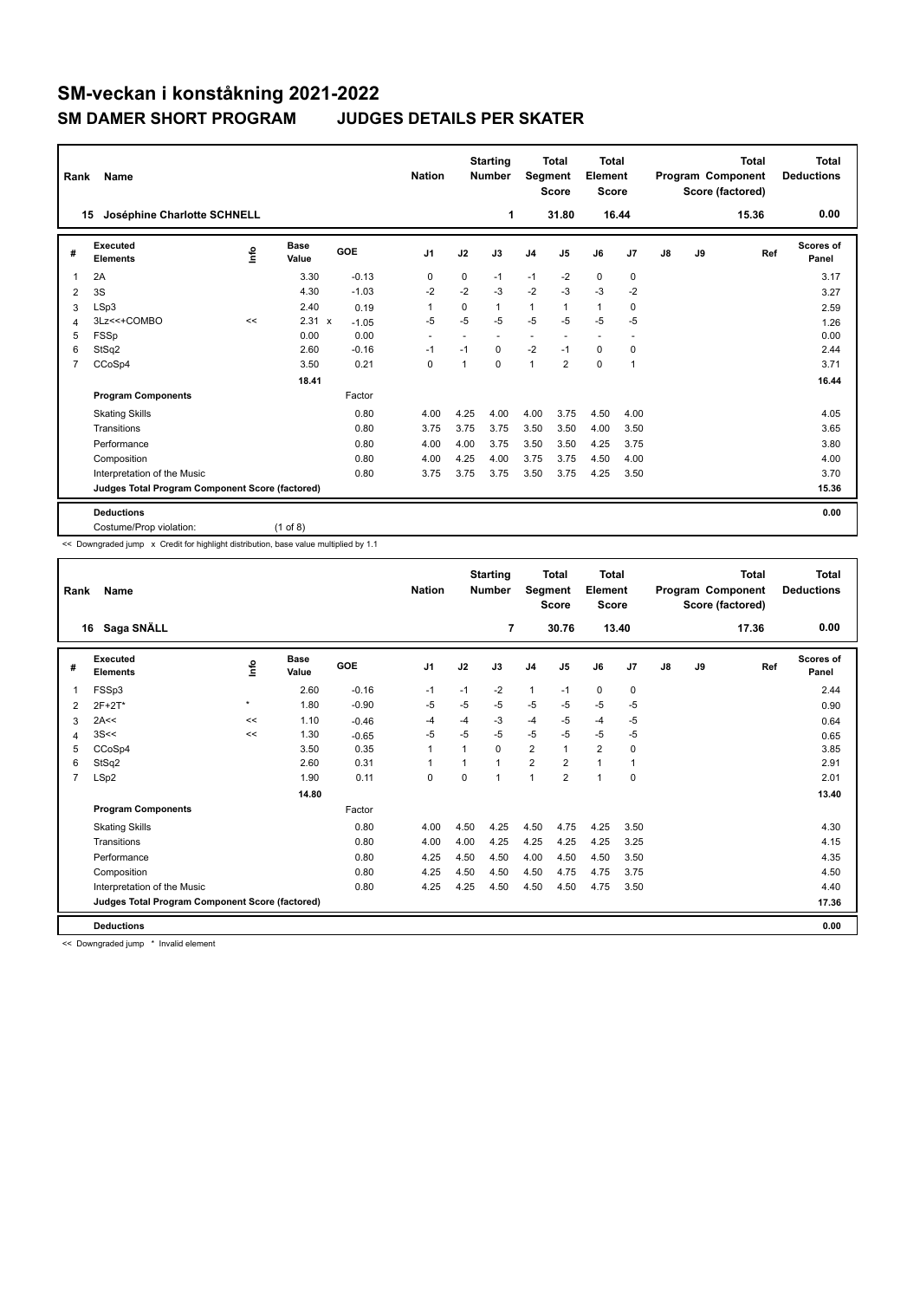| Rank           | Name                                            |      |                      |         | <b>Nation</b>            |          | <b>Starting</b><br><b>Number</b> | Segment                  | <b>Total</b><br><b>Score</b> | Total<br>Element<br><b>Score</b> |                          |    |    | <b>Total</b><br>Program Component<br>Score (factored) | Total<br><b>Deductions</b> |
|----------------|-------------------------------------------------|------|----------------------|---------|--------------------------|----------|----------------------------------|--------------------------|------------------------------|----------------------------------|--------------------------|----|----|-------------------------------------------------------|----------------------------|
| 15             | Joséphine Charlotte SCHNELL                     |      |                      |         |                          |          | 1                                |                          | 31.80                        |                                  | 16.44                    |    |    | 15.36                                                 | 0.00                       |
| #              | Executed<br><b>Elements</b>                     | ١rfo | <b>Base</b><br>Value | GOE     | J <sub>1</sub>           | J2       | J3                               | J <sub>4</sub>           | J5                           | J6                               | J7                       | J8 | J9 | Ref                                                   | <b>Scores of</b><br>Panel  |
| 1              | 2A                                              |      | 3.30                 | $-0.13$ | 0                        | $\Omega$ | $-1$                             | $-1$                     | $-2$                         | $\mathbf 0$                      | $\mathbf 0$              |    |    |                                                       | 3.17                       |
| 2              | 3S                                              |      | 4.30                 | $-1.03$ | $-2$                     | $-2$     | $-3$                             | $-2$                     | $-3$                         | $-3$                             | $-2$                     |    |    |                                                       | 3.27                       |
| 3              | LSp3                                            |      | 2.40                 | 0.19    | 1                        | 0        | 1                                | $\mathbf{1}$             | $\mathbf{1}$                 | $\mathbf{1}$                     | $\mathbf 0$              |    |    |                                                       | 2.59                       |
| 4              | 3Lz<<+COMBO                                     | <<   | 2.31<br>$\mathbf{x}$ | $-1.05$ | $-5$                     | $-5$     | $-5$                             | $-5$                     | $-5$                         | $-5$                             | $-5$                     |    |    |                                                       | 1.26                       |
| 5              | <b>FSSp</b>                                     |      | 0.00                 | 0.00    | $\overline{\phantom{a}}$ |          | $\overline{\phantom{a}}$         | $\overline{\phantom{a}}$ | ٠                            | $\overline{a}$                   | $\overline{\phantom{a}}$ |    |    |                                                       | 0.00                       |
| 6              | StSq2                                           |      | 2.60                 | $-0.16$ | $-1$                     | $-1$     | 0                                | $-2$                     | $-1$                         | 0                                | 0                        |    |    |                                                       | 2.44                       |
| $\overline{7}$ | CCoSp4                                          |      | 3.50                 | 0.21    | $\mathbf 0$              | 1        | 0                                | $\overline{1}$           | $\overline{2}$               | 0                                | $\overline{1}$           |    |    |                                                       | 3.71                       |
|                |                                                 |      | 18.41                |         |                          |          |                                  |                          |                              |                                  |                          |    |    |                                                       | 16.44                      |
|                | <b>Program Components</b>                       |      |                      | Factor  |                          |          |                                  |                          |                              |                                  |                          |    |    |                                                       |                            |
|                | <b>Skating Skills</b>                           |      |                      | 0.80    | 4.00                     | 4.25     | 4.00                             | 4.00                     | 3.75                         | 4.50                             | 4.00                     |    |    |                                                       | 4.05                       |
|                | Transitions                                     |      |                      | 0.80    | 3.75                     | 3.75     | 3.75                             | 3.50                     | 3.50                         | 4.00                             | 3.50                     |    |    |                                                       | 3.65                       |
|                | Performance                                     |      |                      | 0.80    | 4.00                     | 4.00     | 3.75                             | 3.50                     | 3.50                         | 4.25                             | 3.75                     |    |    |                                                       | 3.80                       |
|                | Composition                                     |      |                      | 0.80    | 4.00                     | 4.25     | 4.00                             | 3.75                     | 3.75                         | 4.50                             | 4.00                     |    |    |                                                       | 4.00                       |
|                | Interpretation of the Music                     |      |                      | 0.80    | 3.75                     | 3.75     | 3.75                             | 3.50                     | 3.75                         | 4.25                             | 3.50                     |    |    |                                                       | 3.70                       |
|                | Judges Total Program Component Score (factored) |      |                      |         |                          |          |                                  |                          |                              |                                  |                          |    |    |                                                       | 15.36                      |
|                | <b>Deductions</b>                               |      |                      |         |                          |          |                                  |                          |                              |                                  |                          |    |    |                                                       | 0.00                       |
|                | Costume/Prop violation:                         |      | $(1$ of 8)           |         |                          |          |                                  |                          |                              |                                  |                          |    |    |                                                       |                            |

<< Downgraded jump x Credit for highlight distribution, base value multiplied by 1.1

| Rank           | Name                                            |         |                      |            | <b>Nation</b>  |                | <b>Starting</b><br><b>Number</b> | Segment        | <b>Total</b><br><b>Score</b> | <b>Total</b><br>Element<br><b>Score</b> |                |    |    | <b>Total</b><br>Program Component<br>Score (factored) | <b>Total</b><br><b>Deductions</b> |
|----------------|-------------------------------------------------|---------|----------------------|------------|----------------|----------------|----------------------------------|----------------|------------------------------|-----------------------------------------|----------------|----|----|-------------------------------------------------------|-----------------------------------|
|                | Saga SNÄLL<br>16                                |         |                      |            |                |                | 7                                |                | 30.76                        |                                         | 13.40          |    |    | 17.36                                                 | 0.00                              |
| #              | Executed<br><b>Elements</b>                     | lnfo    | <b>Base</b><br>Value | <b>GOE</b> | J <sub>1</sub> | J2             | J3                               | J <sub>4</sub> | J <sub>5</sub>               | J6                                      | J7             | J8 | J9 | Ref                                                   | Scores of<br>Panel                |
| 1              | FSSp3                                           |         | 2.60                 | $-0.16$    | $-1$           | $-1$           | $-2$                             | $\mathbf{1}$   | $-1$                         | $\mathbf 0$                             | $\pmb{0}$      |    |    |                                                       | 2.44                              |
| 2              | 2F+2T*                                          | $\star$ | 1.80                 | $-0.90$    | $-5$           | $-5$           | $-5$                             | $-5$           | $-5$                         | $-5$                                    | $-5$           |    |    |                                                       | 0.90                              |
| 3              | 2A<<                                            | <<      | 1.10                 | $-0.46$    | $-4$           | $-4$           | $-3$                             | -4             | $-5$                         | $-4$                                    | $-5$           |    |    |                                                       | 0.64                              |
| 4              | 3S<<                                            | <<      | 1.30                 | $-0.65$    | -5             | $-5$           | $-5$                             | $-5$           | $-5$                         | $-5$                                    | $-5$           |    |    |                                                       | 0.65                              |
| 5              | CCoSp4                                          |         | 3.50                 | 0.35       | $\mathbf{1}$   | 1              | 0                                | $\overline{2}$ | $\mathbf{1}$                 | $\overline{2}$                          | $\mathbf 0$    |    |    |                                                       | 3.85                              |
| 6              | StSq2                                           |         | 2.60                 | 0.31       | $\mathbf{1}$   | $\overline{1}$ | 1                                | $\overline{2}$ | $\overline{2}$               | $\mathbf{1}$                            | $\overline{1}$ |    |    |                                                       | 2.91                              |
| $\overline{7}$ | LSp2                                            |         | 1.90                 | 0.11       | $\mathbf 0$    | $\Omega$       | 1                                | $\overline{1}$ | $\overline{2}$               | $\mathbf{1}$                            | $\mathbf 0$    |    |    |                                                       | 2.01                              |
|                |                                                 |         | 14.80                |            |                |                |                                  |                |                              |                                         |                |    |    |                                                       | 13.40                             |
|                | <b>Program Components</b>                       |         |                      | Factor     |                |                |                                  |                |                              |                                         |                |    |    |                                                       |                                   |
|                | <b>Skating Skills</b>                           |         |                      | 0.80       | 4.00           | 4.50           | 4.25                             | 4.50           | 4.75                         | 4.25                                    | 3.50           |    |    |                                                       | 4.30                              |
|                | Transitions                                     |         |                      | 0.80       | 4.00           | 4.00           | 4.25                             | 4.25           | 4.25                         | 4.25                                    | 3.25           |    |    |                                                       | 4.15                              |
|                | Performance                                     |         |                      | 0.80       | 4.25           | 4.50           | 4.50                             | 4.00           | 4.50                         | 4.50                                    | 3.50           |    |    |                                                       | 4.35                              |
|                | Composition                                     |         |                      | 0.80       | 4.25           | 4.50           | 4.50                             | 4.50           | 4.75                         | 4.75                                    | 3.75           |    |    |                                                       | 4.50                              |
|                | Interpretation of the Music                     |         |                      | 0.80       | 4.25           | 4.25           | 4.50                             | 4.50           | 4.50                         | 4.75                                    | 3.50           |    |    |                                                       | 4.40                              |
|                | Judges Total Program Component Score (factored) |         |                      |            |                |                |                                  |                |                              |                                         |                |    |    |                                                       | 17.36                             |
|                | <b>Deductions</b>                               |         |                      |            |                |                |                                  |                |                              |                                         |                |    |    |                                                       | 0.00                              |

<< Downgraded jump \* Invalid element